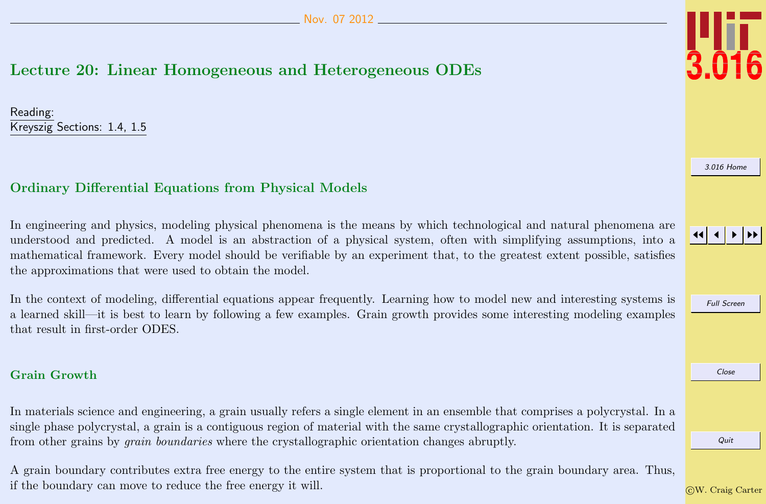# <span id="page-0-0"></span>Lecture 20: Linear Homogeneous and Heterogeneous ODEs

Reading: Kreyszig Sections: 1.4, 1.5

# Ordinary Differential Equations from Physical Models

In engineering and physics, modeling physical phenomena is the means by which technological and natural phenomena are understood and predicted. A model is an abstraction of a physical system, often with simplifying assumptions, into a mathematical framework. Every model should be verifiable by an experiment that, to the greatest extent possible, satisfies the approximations that were used to obtain the model.

In the context of modeling, differential equations appear frequently. Learning how to model new and interesting systems is a learned skill—it is best to learn by following a few examples. Grain growth provides some interesting modeling examples that result in first-order ODES.

## Grain Growth

In materials science and engineering, a grain usually refers a single element in an ensemble that comprises a polycrystal. In a single phase polycrystal, a grain is a contiguous region of material with the same crystallographic orientation. It is separated from other grains by grain boundaries where the crystallographic orientation changes abruptly.

A grain boundary contributes extra free energy to the entire system that is proportional to the grain boundary area. Thus, if the boundary can move to reduce the free energy it will.



[3.016 Home](http://pruffle.mit.edu/3.016-2012/)

JJ J I II

Full Screen

Close

Quit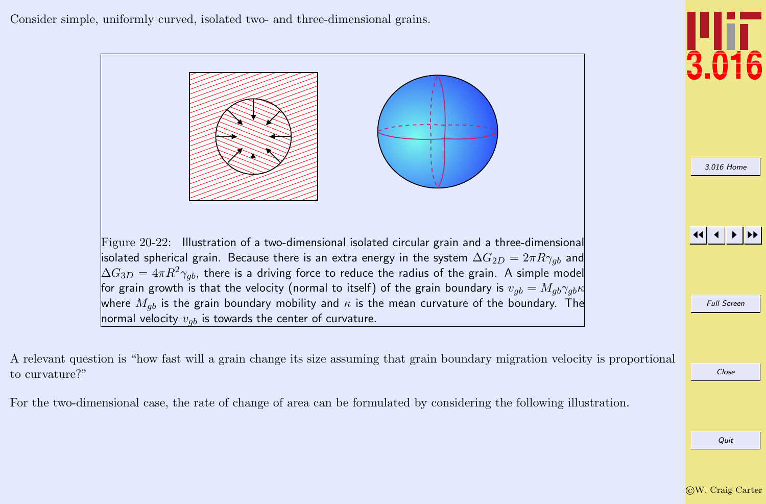<span id="page-1-0"></span>Consider simple, uniformly curved, isolated two- and three-dimensional grains.



A relevant question is "how fast will a grain change its size assuming that grain boundary migration velocity is proportional to curvature?"

For the two-dimensional case, the rate of change of area can be formulated by considering the following illustration.

# Quit

Close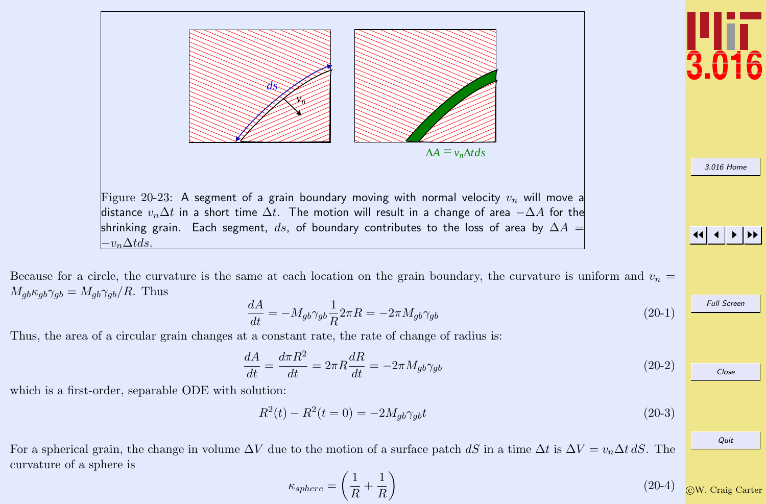<span id="page-2-0"></span>

Because for a circle, the curvature is the same at each location on the grain boundary, the curvature is uniform and  $v_n =$  $M_{qb}\kappa_{qb}\gamma_{qb} = M_{qb}\gamma_{qb}/R$ . Thus

$$
\frac{dA}{dt} = -M_{gb}\gamma_{gb}\frac{1}{R}2\pi R = -2\pi M_{gb}\gamma_{gb} \tag{20-1}
$$

Thus, the area of a circular grain changes at a constant rate, the rate of change of radius is:

$$
\frac{dA}{dt} = \frac{d\pi R^2}{dt} = 2\pi R \frac{dR}{dt} = -2\pi M_{gb}\gamma_{gb} \tag{20-2}
$$

which is a first-order, separable ODE with solution:

$$
R^{2}(t) - R^{2}(t = 0) = -2M_{gb}\gamma_{gb}t
$$
\n(20-3)

For a spherical grain, the change in volume  $\Delta V$  due to the motion of a surface patch dS in a time  $\Delta t$  is  $\Delta V = v_n \Delta t$  dS. The curvature of a sphere is

$$
\kappa_{sphere} = \left(\frac{1}{R} + \frac{1}{R}\right) \tag{20-4}
$$

#### JJ J I II

Full Screen

Close

Quit

[3.016 Home](http://pruffle.mit.edu/3.016-2012/)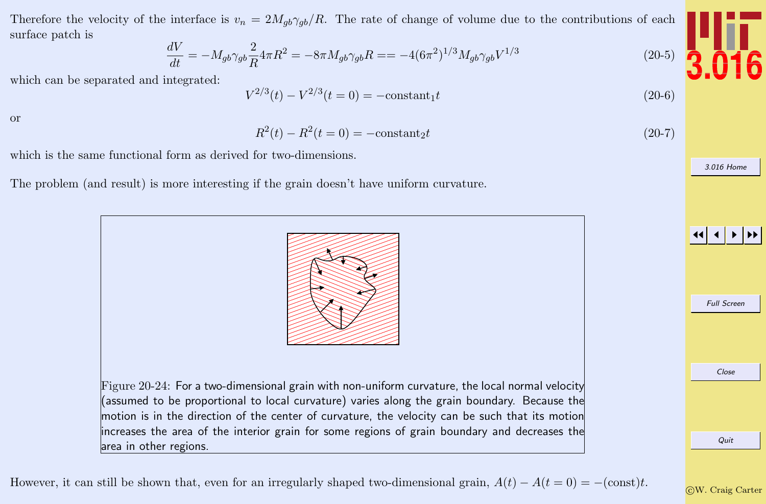Therefore the velocity of the interface is  $v_n = 2M_{qb}\gamma_{qb}/R$ . The rate of change of volume due to the contributions of each surface patch is

$$
\frac{dV}{dt} = -M_{gb}\gamma_{gb}\frac{2}{R}4\pi R^2 = -8\pi M_{gb}\gamma_{gb}R = -4(6\pi^2)^{1/3}M_{gb}\gamma_{gb}V^{1/3}
$$

which can be separated and integrated:

$$
V^{2/3}(t) - V^{2/3}(t=0) = -\text{constant}_1 t
$$
\n(20-6)

or

$$
R^{2}(t) - R^{2}(t = 0) = -\text{constant}_{2}t
$$
\n(20-7)

which is the same functional form as derived for two-dimensions.

The problem (and result) is more interesting if the grain doesn't have uniform curvature.



However, it can still be shown that, even for an irregularly shaped two-dimensional grain,  $A(t) - A(t = 0) = -(\text{const})t$ .



 $(20-5)$ 

JJ J I II

Full Screen

[3.016 Home](http://pruffle.mit.edu/3.016-2012/)

Close

Quit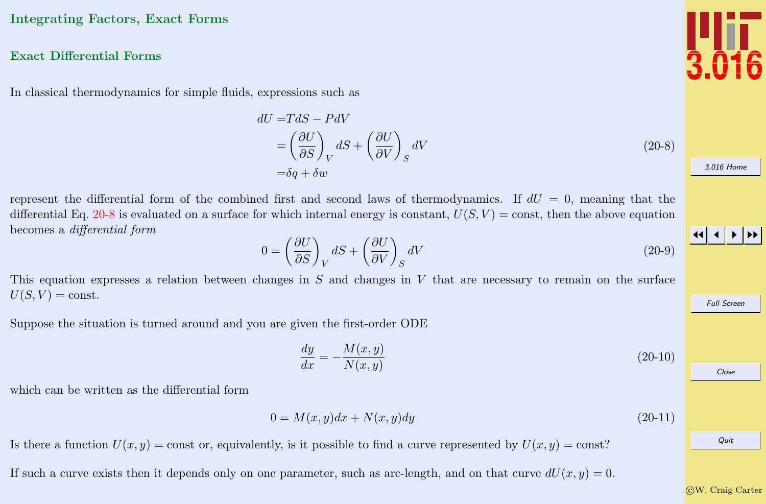## <span id="page-4-0"></span>Integrating Factors, Exact Forms

#### Exact Differential Forms

In classical thermodynamics for simple fluids, expressions such as

$$
dU = TdS - PdV
$$
  
=  $\left(\frac{\partial U}{\partial S}\right)_V dS + \left(\frac{\partial U}{\partial V}\right)_S dV$  (20-8)  
=  $\delta q + \delta w$ 

represent the differential form of the combined first and second laws of thermodynamics. If  $dU = 0$ , meaning that the differential Eq. 20-8 is evaluated on a surface for which internal energy is constant,  $U(S, V) = \text{const}$ , then the above equation becomes a differential form

$$
0 = \left(\frac{\partial U}{\partial S}\right)_V dS + \left(\frac{\partial U}{\partial V}\right)_S dV
$$
\n(20-9)

This equation expresses a relation between changes in  $S$  and changes in  $V$  that are necessary to remain on the surface  $U(S, V) = \text{const.}$ 

Suppose the situation is turned around and you are given the first-order ODE

$$
\frac{dy}{dx} = -\frac{M(x,y)}{N(x,y)}\tag{20-10}
$$

which can be written as the differential form

$$
0 = M(x, y)dx + N(x, y)dy
$$
\n
$$
(20-11)
$$

Is there a function  $U(x, y) = \text{const}$  or, equivalently, is it possible to find a curve represented by  $U(x, y) = \text{const}$ ?

If such a curve exists then it depends only on one parameter, such as arc-length, and on that curve  $dU(x, y) = 0$ .



[3.016 Home](http://pruffle.mit.edu/3.016-2012/)

JJ J I II

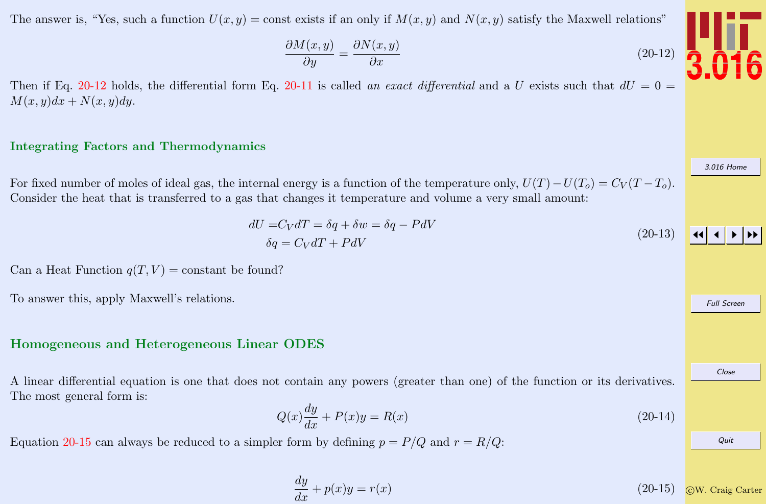<span id="page-5-0"></span>The answer is, "Yes, such a function  $U(x, y) = \text{const}$  exists if an only if  $M(x, y)$  and  $N(x, y)$  satisfy the Maxwell relations"

$$
\frac{\partial M(x,y)}{\partial y} = \frac{\partial N(x,y)}{\partial x}
$$
\n(20-12)

Then if Eq. 20-12 holds, the differential form Eq. [20-11](#page-4-0) is called an exact differential and a U exists such that  $dU = 0$  $M(x, y)dx + N(x, y)dy.$ 

#### Integrating Factors and Thermodynamics

For fixed number of moles of ideal gas, the internal energy is a function of the temperature only,  $U(T) - U(T_0) = C_V(T - T_0)$ . Consider the heat that is transferred to a gas that changes it temperature and volume a very small amount:

$$
dU = C_V dT = \delta q + \delta w = \delta q - P dV
$$
\n
$$
\delta q = C_V dT + P dV
$$
\n(20-13)

Can a Heat Function  $q(T, V) = \text{constant}$  be found?

To answer this, apply Maxwell's relations.

#### Homogeneous and Heterogeneous Linear ODES

A linear differential equation is one that does not contain any powers (greater than one) of the function or its derivatives. The most general form is:

$$
Q(x)\frac{dy}{dx} + P(x)y = R(x)
$$
\n(20-14)

Equation 20-15 can always be reduced to a simpler form by defining  $p = P/Q$  and  $r = R/Q$ .

$$
\frac{dy}{dx} + p(x)y = r(x) \tag{20-15}
$$



[3.016 Home](http://pruffle.mit.edu/3.016-2012/)

Full Screen

Close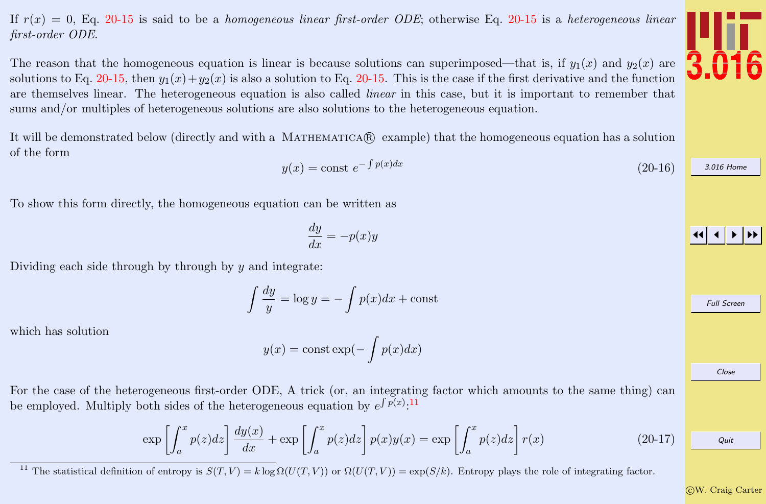<span id="page-6-0"></span>If  $r(x) = 0$ , Eq. [20-15](#page-5-0) is said to be a *homogeneous linear first-order ODE*; otherwise Eq. 20-15 is a *heterogeneous linear* first-order ODE.

The reason that the homogeneous equation is linear is because solutions can superimposed—that is, if  $y_1(x)$  and  $y_2(x)$  are solutions to Eq. [20-15,](#page-5-0) then  $y_1(x) + y_2(x)$  is also a solution to Eq. [20-15.](#page-5-0) This is the case if the first derivative and the function are themselves linear. The heterogeneous equation is also called *linear* in this case, but it is important to remember that sums and/or multiples of heterogeneous solutions are also solutions to the heterogeneous equation.

It will be demonstrated below (directly and with a MATHEMATICAR) example) that the homogeneous equation has a solution of the form

$$
y(x) = \text{const } e^{-\int p(x)dx} \tag{20-16}
$$

To show this form directly, the homogeneous equation can be written as

$$
\frac{dy}{dx} = -p(x)y
$$

Dividing each side through by through by  $y$  and integrate:

$$
\int \frac{dy}{y} = \log y = -\int p(x)dx + \text{const}
$$

which has solution

$$
y(x) = \text{const} \exp(-\int p(x) dx)
$$

For the case of the heterogeneous first-order ODE, A trick (or, an integrating factor which amounts to the same thing) can be employed. Multiply both sides of the heterogeneous equation by  $e^{\int p(x).11}$ 

$$
\exp\left[\int_{a}^{x} p(z)dz\right] \frac{dy(x)}{dx} + \exp\left[\int_{a}^{x} p(z)dz\right] p(x)y(x) = \exp\left[\int_{a}^{x} p(z)dz\right] r(x) \tag{20-17}
$$

<sup>11</sup> The statistical definition of entropy is  $S(T, V) = k \log \Omega(U(T, V))$  or  $\Omega(U(T, V)) = \exp(S/k)$ . Entropy plays the role of integrating factor.





[3.016 Home](http://pruffle.mit.edu/3.016-2012/)

Full Screen

Close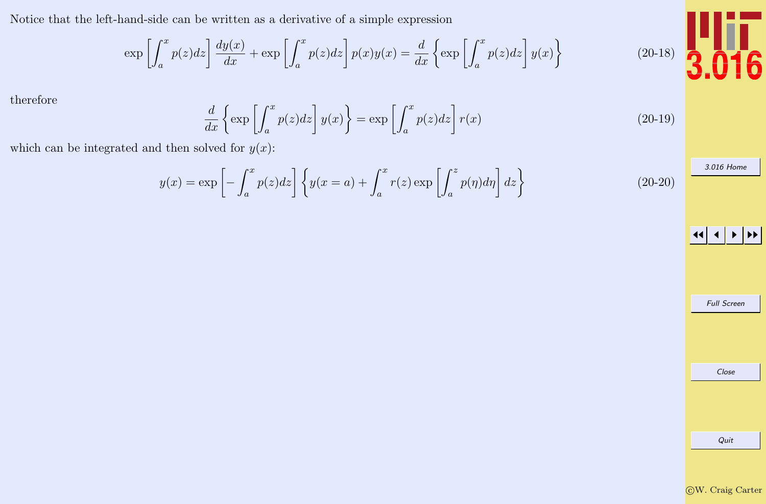<span id="page-7-0"></span>Notice that the left-hand-side can be written as a derivative of a simple expression

$$
\exp\left[\int_a^x p(z)dz\right] \frac{dy(x)}{dx} + \exp\left[\int_a^x p(z)dz\right] p(x)y(x) = \frac{d}{dx}\left\{\exp\left[\int_a^x p(z)dz\right]y(x)\right\}
$$

therefore

$$
\frac{d}{dx}\left\{\exp\left[\int_{a}^{x}p(z)dz\right]y(x)\right\} = \exp\left[\int_{a}^{x}p(z)dz\right]r(x) \tag{20-19}
$$

which can be integrated and then solved for  $y(x)$ :

$$
y(x) = \exp\left[-\int_{a}^{x} p(z)dz\right] \left\{y(x=a) + \int_{a}^{x} r(z) \exp\left[\int_{a}^{z} p(\eta)d\eta\right]dz\right\}
$$
(20-20)

JJ J I II

[3.016 Home](http://pruffle.mit.edu/3.016-2012/)

Full Screen Close Quit

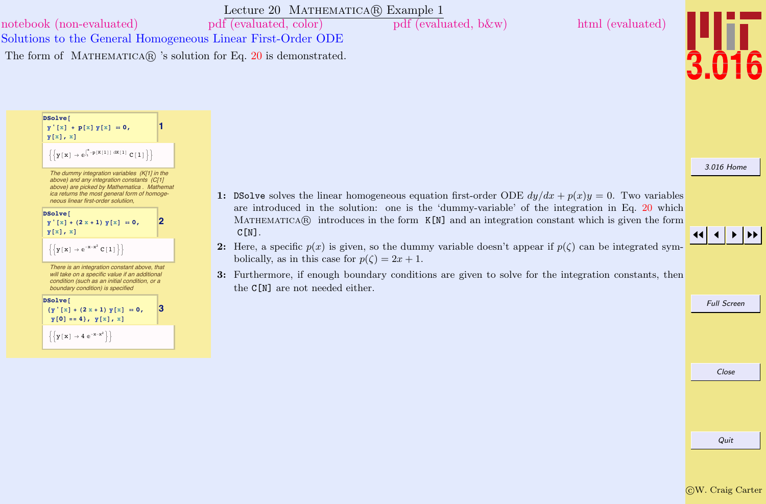# <span id="page-8-0"></span>Lecture 20 MATHEMATICA(R) Example 1 Solutions to the General Homogeneous Linear First-Order ODE [notebook \(non-evaluated\)](http://pruffle.mit.edu/3.016-2012/Notebooks/L20/Lecture-20.nb) [pdf \(evaluated, color\)](http://pruffle.mit.edu/3.016-2012/pdf/L20/Lecture-20-1-COL.pdf) [pdf \(evaluated, b&w\)](http://pruffle.mit.edu/3.016-2012/pdf/L20/Lecture-20-1-BW.pdf) [html \(evaluated\)](http://pruffle.mit.edu/3.016-2012/html/Lecture-20/HTMLLinks/index_1.html) The form of MATHEMATICAR 's solution for Eq. [20](#page-6-0) is demonstrated.

**DSolve**

\n
$$
y' [x] + p[x] y[x] = 0,
$$

\n
$$
y[x], x]
$$

\n
$$
\left\{ \left\{ y[x] \rightarrow e^{x} \cdot p(x[11] dx[1] C[1] \right\} \right\}
$$

\n*The dummy integration variables (K[1] in the above) and any integration constants (C[1] above) are picked by Mathematical. Mathematica relation of homogeneous linear first-order solution,*

\n**DSolve**

\n
$$
y'[x] + (2x + 1) y[x] = 0,
$$

\n
$$
y[x], x]
$$

\n
$$
\left\{ \left\{ y[x] \rightarrow e^{-x-x^2} C[1] \right\} \right\}
$$

\n*There is an integration constant above, that will take on a specific value if an additional condition (such as an initial condition), or a boundary condition) is specified.*

\n**DSolve**

\n
$$
\left\{ y'[x] + (2x + 1) y[x] = 0,
$$

\n
$$
y[0] = 4 \}
$$
, 
$$
y[x], x
$$

\n
$$
\left\{ \left\{ y[x] \rightarrow e^{-x-x^2} \right\} \right\}
$$

\n
$$
\left\{ \left\{ y[x] \rightarrow e^{-x-x^2} \right\} \right\}
$$

- 1: DSolve solves the linear homogeneous equation first-order ODE  $dy/dx + p(x)y = 0$ . Two variables are introduced in the solution: one is the 'dummy-variable' of the integration in Eq. [20](#page-6-0) which MATHEMATICA $\circledR$  introduces in the form K[N] and an integration constant which is given the form  $C[N]$ .
- 2: Here, a specific  $p(x)$  is given, so the dummy variable doesn't appear if  $p(\zeta)$  can be integrated symbolically, as in this case for  $p(\zeta) = 2x + 1$ .
- 3: Furthermore, if enough boundary conditions are given to solve for the integration constants, then the C[N] are not needed either.



Full Screen

[3.016 Home](http://pruffle.mit.edu/3.016-2012/)

Close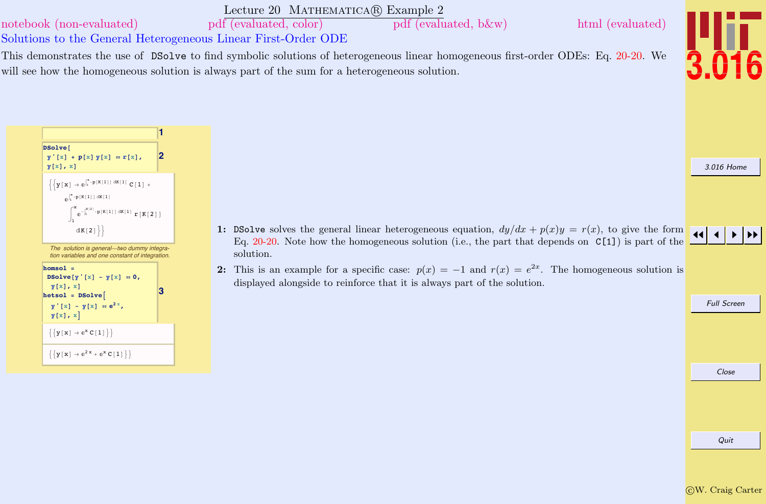<span id="page-9-0"></span>

 $\{\{y[x] \to e^{2x} + e^{x} C[1]\}\}\$ 

Close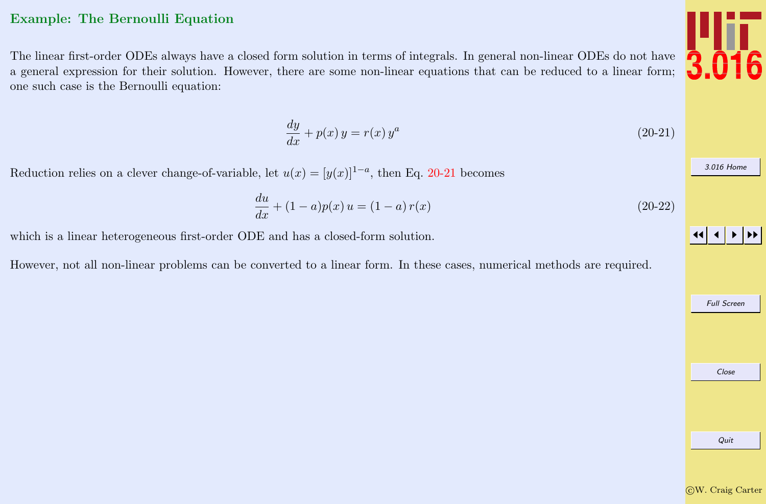## <span id="page-10-0"></span>Example: The Bernoulli Equation

The linear first-order ODEs always have a closed form solution in terms of integrals. In general non-linear ODEs do not have a general expression for their solution. However, there are some non-linear equations that can be reduced to a linear form; one such case is the Bernoulli equation:

$$
\frac{dy}{dx} + p(x)y = r(x)y^a \tag{20-21}
$$

Reduction relies on a clever change-of-variable, let  $u(x) = [y(x)]^{1-a}$ , then Eq. 20-21 becomes

$$
\frac{du}{dx} + (1 - a)p(x) u = (1 - a)r(x)
$$
\n(20-22)

which is a linear heterogeneous first-order ODE and has a closed-form solution.

However, not all non-linear problems can be converted to a linear form. In these cases, numerical methods are required.





[3.016 Home](http://pruffle.mit.edu/3.016-2012/)

JJ J I II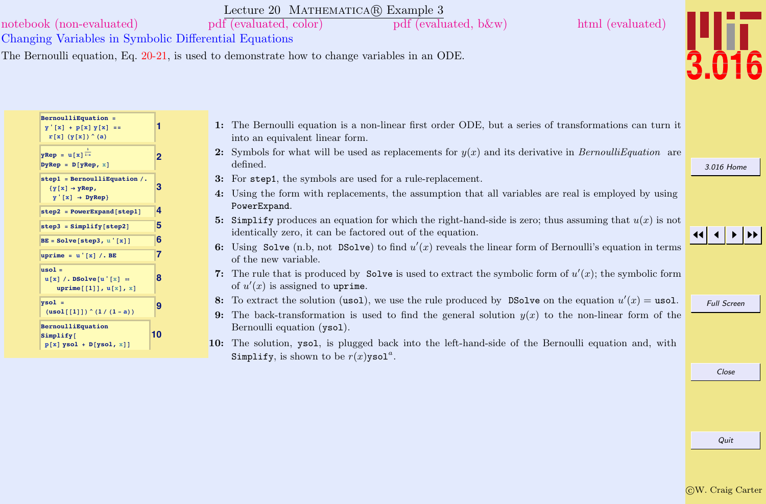<span id="page-11-0"></span>

| notebook (non-evaluated)<br>Changing Variables in Symbolic Differential Equations            | Lecture 20 MATHEMATICA(R) Example 3<br>pdf (evaluated, color)<br>$pdf$ (evaluated, b $\&w$ )<br>html (evaluated)<br>The Bernoulli equation, Eq. 20-21, is used to demonstrate how to change variables in an ODE. |            |
|----------------------------------------------------------------------------------------------|------------------------------------------------------------------------------------------------------------------------------------------------------------------------------------------------------------------|------------|
| BernoulliEquation =<br>$y'[x] + p[x] y[x] ==$<br>r[x] (y[x]) (a)                             | 1: The Bernoulli equation is a non-linear first order ODE, but a series of transformations can turn it<br>into an equivalent linear form.                                                                        |            |
| $yRep = u[x]$ <sup>1-a</sup><br>$DyRep = D[yRep, x]$                                         | 2: Symbols for what will be used as replacements for $y(x)$ and its derivative in <i>BernoulliEquation</i> are<br>defined.                                                                                       | 3.016 Home |
| step1 = BernoulliEquation $/$ .<br>${y[x] \rightarrow yRep, }$<br>$y' [x] \rightarrow DyRep$ | 3: For step1, the symbols are used for a rule-replacement.<br>4: Using the form with replacements, the assumption that all variables are real is employed by using<br>PowerExpand.                               |            |
| $step2 = PowerExpand[step1]$<br>$step3 = Simplify[step2]$                                    | 5: Simplify produces an equation for which the right-hand-side is zero; thus assuming that $u(x)$ is not<br>identically zero, it can be factored out of the equation.                                            |            |
| $BE = Solve[step3, u'[x]]$<br>ю<br>uprime = $u' [x] / . BE$                                  | 6: Using Solve (n.b, not DSolve) to find $u'(x)$ reveals the linear form of Bernoulli's equation in terms<br>of the new variable.                                                                                |            |
| $usol =$<br>$u[x]/.$ DSolve $[u'[x] =$<br>uprime[[1]], $u[x]$ , $x$ ]                        | 7: The rule that is produced by Solve is used to extract the symbolic form of $u'(x)$ ; the symbolic form<br>of $u'(x)$ is assigned to uprime.                                                                   |            |

**9 h**<br> **1 b**<br> **1 b**<br> **1 b**<br> **1 b**<br> **1 b**<br> **1 b**<br> **1 b**<br> **1 b**<br> **1 b**<br> **1 b**<br> **1 b**<br> **1 b**<br> **1 b**<br> **1 b**<br> **1 b**<br> **1 b**<br> **1 b**<br> **1 b**<br> **1 b**<br> **1 b**<br> **1 b**<br> **1 b**<br> **1 b**<br> **1**

**BernoulliEquation Simplify@**

 $p[x]$  **ysol** +  $D[yso1, x]]$ 

**10**

- 8: To extract the solution (usol), we use the rule produced by DSolve on the equation  $u'(x) =$  usol.
- 9: The back-transformation is used to find the general solution  $y(x)$  to the non-linear form of the Bernoulli equation (ysol).
- 10: The solution, ysol, is plugged back into the left-hand-side of the Bernoulli equation and, with Simplify, is shown to be  $r(x)$ ysol<sup>a</sup>.

Full Screen

Close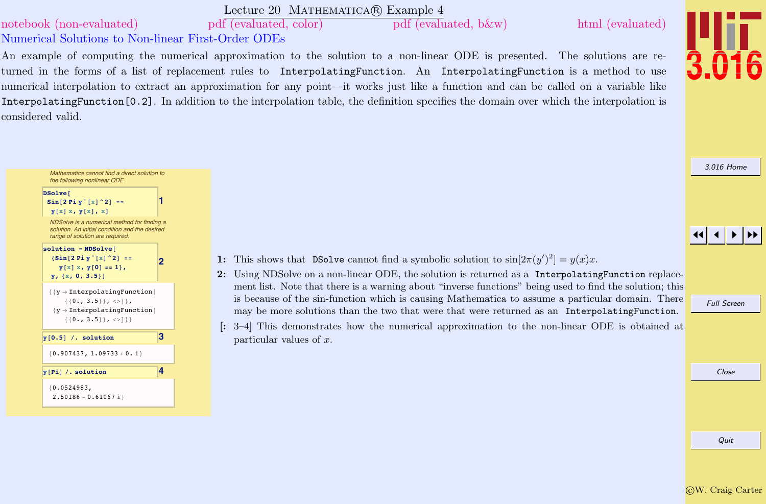### Lecture 20 MATHEMATICA(R) Example 4

<span id="page-12-0"></span>[notebook \(non-evaluated\)](http://pruffle.mit.edu/3.016-2012/Notebooks/L20/Lecture-20.nb) [pdf \(evaluated, color\)](http://pruffle.mit.edu/3.016-2012/pdf/L20/Lecture-20-4-COL.pdf) [pdf \(evaluated, b&w\)](http://pruffle.mit.edu/3.016-2012/pdf/L20/Lecture-20-4-BW.pdf) [html \(evaluated\)](http://pruffle.mit.edu/3.016-2012/html/Lecture-20/HTMLLinks/index_4.html)

# Numerical Solutions to Non-linear First-Order ODEs

**1**

**2**

An example of computing the numerical approximation to the solution to a non-linear ODE is presented. The solutions are returned in the forms of a list of replacement rules to InterpolatingFunction. An InterpolatingFunction is a method to use numerical interpolation to extract an approximation for any point—it works just like a function and can be called on a variable like InterpolatingFunction[0.2]. In addition to the interpolation table, the definition specifies the domain over which the interpolation is considered valid.



[3.016 Home](http://pruffle.mit.edu/3.016-2012/)

# JJ J I II

- 1: This shows that DSolve cannot find a symbolic solution to  $sin[2\pi(y')^2] = y(x)x$ .
- 2: Using NDSolve on a non-linear ODE, the solution is returned as a InterpolatingFunction replacement list. Note that there is a warning about "inverse functions" being used to find the solution; this is because of the sin-function which is causing Mathematica to assume a particular domain. There may be more solutions than the two that were that were returned as an InterpolatingFunction.
- [: 3–4] This demonstrates how the numerical approximation to the non-linear ODE is obtained at particular values of x.

Full Screen

 ${y \rightarrow InterpolatingFunction[$  $\{\{0., 3.5\}\}, \{>1\},$  ${y \rightarrow InterpolatingFunction}$  $\{ \{0., 3.5\} \}, \{>>1\}$  $\mathbf{y}$ [0.5] /. solution **3**  ${0.907437, 1.09733 + 0. i}$  $\mathbf{y}$ **Pi**] *l*. solution **4**  ${0.0524983}$ ,  $2.50186 - 0.61067 i$ 

Mathematica cannot find a direct solution to the following nonlinear ODE

[NDSolve is a numerical method for finding a](http://pruffle.mit.edu/3.016-2012/html/Lecture-20/HTMLLinks/index_4.html) solution. An initial condition and the desired range of solution are required.

 $\sin[2 \text{Pi y} \cdot [\text{x}] \cdot 2] =$ **y**<sub>[x]</sub> **x**, **y**<sub>[x]</sub>, x]

 $solution = NDSolve$  ${sin[2 Pi y'[x]^2]} =$  $\mathbf{y}[\mathbf{x}] \mathbf{x}$ ,  $\mathbf{y}[\mathbf{0}] == 1$ , **y**,  $\{x, 0, 3.5\}$ 

DSolve<sup>[</sup>

Close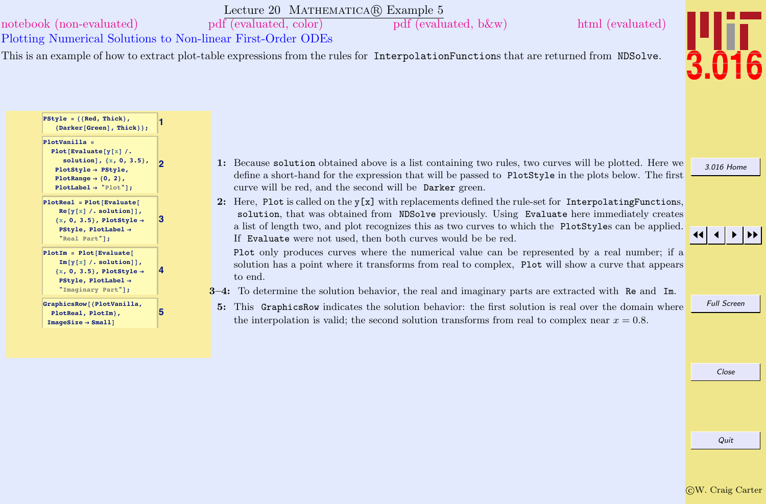### Lecture 20 MATHEMATICA(R) Example 5

<span id="page-13-0"></span>[notebook \(non-evaluated\)](http://pruffle.mit.edu/3.016-2012/Notebooks/L20/Lecture-20.nb) [pdf \(evaluated, color\)](http://pruffle.mit.edu/3.016-2012/pdf/L20/Lecture-20-5-COL.pdf) [pdf \(evaluated, b&w\)](http://pruffle.mit.edu/3.016-2012/pdf/L20/Lecture-20-5-BW.pdf) [html \(evaluated\)](http://pruffle.mit.edu/3.016-2012/html/Lecture-20/HTMLLinks/index_5.html)

Plotting Numerical Solutions to Non-linear First-Order ODEs

**2**

**4**

**5**

This is an example of how to extract plot-table expressions from the rules for InterpolationFunctions that are returned from NDSolve.



[3.016 Home](http://pruffle.mit.edu/3.016-2012/)

 $PStyle = \{ \text{Red, Thick} \}$ **8Darker@GreenD, Thick<<;**

 $P$ **lot** $[$ **Evaluate** $[Y[x]$  /. **solutionD, 8x, 0, 3.5<, PlotStyle** → **PStyle**,  $PlotRange \rightarrow \{0, 2\}$ **PlotLabel <sup>Ø</sup> "Plot"D;**

**PlotVanilla =**

 $PlotIm = Plot[Evaluate[$  $Im[y[x]$  /. solution]], **<sup>8</sup>x, 0, 3.5<, PlotStyle <sup>Ø</sup>**  $PStvle, PlotLabel \rightarrow$ **"Imaginary Part"D;**

**GraphicsRow@8[PlotVanilla,](http://pruffle.mit.edu/3.016-2012/html/Lecture-20/HTMLLinks/index_5.html) PlotReal, PlotIm<, ImageSize** → **Small**]

- 1: Because solution obtained above is a list containing two rules, two curves will be plotted. Here we define a short-hand for the expression that will be passed to PlotStyle in the plots below. The first curve will be red, and the second will be Darker green.
- 2: Here, Plot is called on the  $y[x]$  with replacements defined the rule-set for InterpolatingFunctions, solution, that was obtained from NDSolve previously. Using Evaluate here immediately creates a list of length two, and plot recognizes this as two curves to which the PlotStyles can be applied. If Evaluate were not used, then both curves would be be red.

Plot only produces curves where the numerical value can be represented by a real number; if a solution has a point where it transforms from real to complex, Plot will show a curve that appears to end.

 $3-4$ : To determine the solution behavior, the real and imaginary parts are extracted with Re and Im.

5: This GraphicsRow indicates the solution behavior: the first solution is real over the domain where the interpolation is valid; the second solution transforms from real to complex near  $x = 0.8$ .

JJ J I II

Full Screen

Close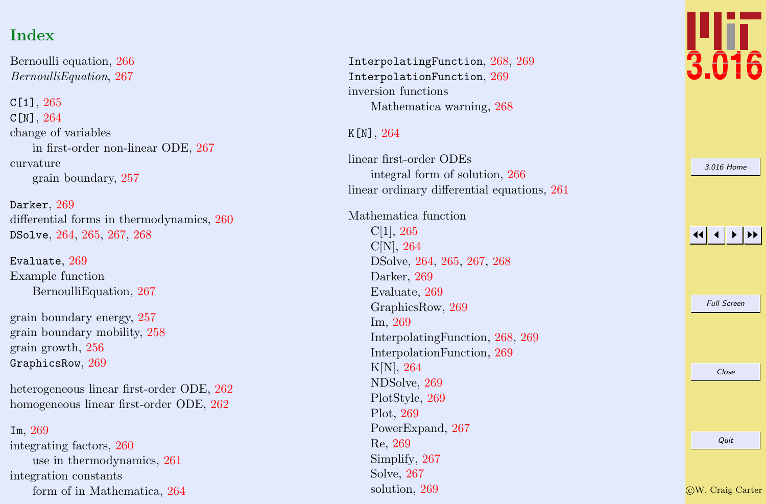# Index

Bernoulli equation, [266](#page-10-0) BernoulliEquation , [267](#page-11-0)

C[1],  $265\,$  $265\,$  $C[N], 264$  $C[N], 264$ change of variables in first-order non-linear ODE, [267](#page-11-0) curvature grain boundary, [257](#page-1-0)

Darker , [269](#page-13-0) differential forms in thermodynamics, [260](#page-4-0) DSolve, [264](#page-8-0), [265](#page-9-0), [267](#page-11-0), [268](#page-12-0)

 ${\tt Evaluate},\,269$  ${\tt Evaluate},\,269$ Example function BernoulliEquation, [267](#page-11-0)

grain boundary energy, [257](#page-1-0) grain boundary mobility, [258](#page-2-0) grain growth, [256](#page-0-0)  $GraphicsRow, 269$  $GraphicsRow, 269$ 

heterogeneous linear first-order ODE, [262](#page-6-0) homogeneous linear first-order ODE, [262](#page-6-0)

Im , [269](#page-13-0)

integrating factors, [260](#page-4-0) use in thermodynamics, [261](#page-5-0) integration constants form of in Mathematica, [264](#page-8-0)

InterpolatingFunction , [268](#page-12-0) , [269](#page-13-0) InterpolationFunction , [269](#page-13-0) inversion functions Mathematica warning, [268](#page-12-0)

K [N],  $264$ 

linear first-order ODEs integral form of solution, [266](#page-10-0) linear ordinary differential equations, [261](#page-5-0)

Mathematica function C[1], [265](#page-9-0) C[N], [264](#page-8-0) DSolve, [264](#page-8-0) , [265](#page-9-0) , [267](#page-11-0) , [268](#page-12-0) Darker, [269](#page-13-0) Evaluate, [269](#page-13-0) GraphicsRow, [269](#page-13-0) Im, [269](#page-13-0) InterpolatingFunction, [268](#page-12-0) , [269](#page-13-0) InterpolationFunction, [269](#page-13-0) K[N], [264](#page-8-0) NDSolve, [269](#page-13-0) PlotStyle, [269](#page-13-0) Plot, [269](#page-13-0) PowerExpand, [267](#page-11-0) Re, [269](#page-13-0) Simplify, [267](#page-11-0) Solve, [267](#page-11-0) solution, [269](#page-13-0)



| 3.016 Home         |
|--------------------|
|                    |
| <b>Full Screen</b> |
| Close              |
|                    |
| Quit               |
|                    |